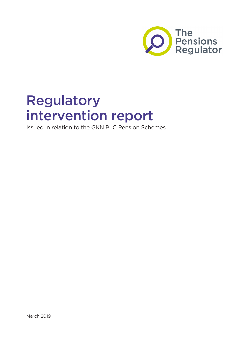

# Regulatory intervention report

Issued in relation to the GKN PLC Pension Schemes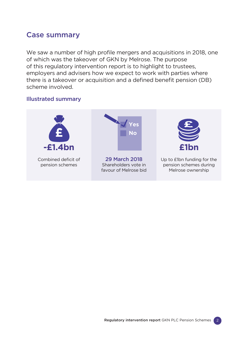#### Case summary

We saw a number of high profile mergers and acquisitions in 2018, one of which was the takeover of GKN by Melrose. The purpose of this regulatory intervention report is to highlight to trustees, employers and advisers how we expect to work with parties where there is a takeover or acquisition and a defined benefit pension (DB) scheme involved.

#### Illustrated summary

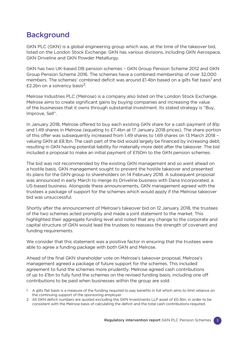### Background

GKN PLC (GKN) is a global engineering group which was, at the time of the takeover bid, listed on the London Stock Exchange. GKN has various divisions, including GKN Aerospace, GKN Driveline and GKN Powder Metallurgy.

GKN has two UK-based DB pension schemes – GKN Group Pension Scheme 2012 and GKN Group Pension Scheme 2016. The schemes have a combined membership of over 32,000 members. The schemes' combined deficit was around £1.4bn based on a gilts flat basis<sup>1</sup> and £2.2bn on a solvency basis2.

Melrose Industries PLC (Melrose) is a company also listed on the London Stock Exchange. Melrose aims to create significant gains by buying companies and increasing the value of the businesses that it owns through substantial investment. Its stated strategy is "Buy, Improve, Sell".

In January 2018, Melrose offered to buy each existing GKN share for a cash payment of 81p and 1.49 shares in Melrose (equating to £7.4bn at 17 January 2018 prices). The share portion of this offer was subsequently increased from 1.49 shares to 1.69 shares on 13 March 2018 – valuing GKN at £8.1bn. The cash part of the bid would largely be financed by increasing debt, resulting in GKN having potential liability for materially more debt after the takeover. The bid included a proposal to make an initial payment of £150m to the GKN pension schemes.

The bid was not recommended by the existing GKN management and so went ahead on a hostile basis. GKN management sought to prevent the hostile takeover and presented its plans for the GKN group to shareholders on 14 February 2018. A subsequent proposal was announced in early March to merge its Driveline business with Dana Incorporated, a US-based business. Alongside these announcements, GKN management agreed with the trustees a package of support for the schemes which would apply if the Melrose takeover bid was unsuccessful.

Shortly after the announcement of Melrose's takeover bid on 12 January 2018, the trustees of the two schemes acted promptly and made a joint statement to the market. This highlighted their aggregate funding level and noted that any change to the corporate and capital structure of GKN would lead the trustees to reassess the strength of covenant and funding requirements.

We consider that this statement was a positive factor in ensuring that the trustees were able to agree a funding package with both GKN and Melrose.

Ahead of the final GKN shareholder vote on Melrose's takeover proposal, Melrose's management agreed a package of future support for the schemes. This included agreement to fund the schemes more prudently. Melrose agreed cash contributions of up to £1bn to fully fund the schemes on the revised funding basis, including one off contributions to be paid when businesses within the group are sold.

2 All GKN deficit numbers are quoted excluding the GKN Investments LLP asset of £0.3bn, in order to be consistent with the Melrose basis of calculating the deficit and the total cash contributions required.

<sup>1</sup> A gilts flat basis is a measure of the funding required to pay benefits in full which aims to limit reliance on the continuing support of the sponsoring employer.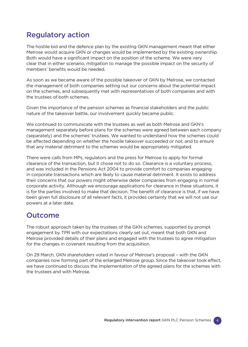### Regulatory action

The hostile bid and the defence plan by the existing GKN management meant that either Melrose would acquire GKN or changes would be implemented by the existing ownership. Both would have a significant impact on the position of the scheme. We were very clear that in either scenario, mitigation to manage the possible impact on the security of members' benefits would be needed.

As soon as we became aware of the possible takeover of GKN by Melrose, we contacted the management of both companies setting out our concerns about the potential impact on the schemes, and subsequently met with representatives of both companies and with the trustees of both schemes.

Given the importance of the pension schemes as financial stakeholders and the public nature of the takeover battle, our involvement quickly became public.

We continued to communicate with the trustees as well as both Melrose and GKN's management separately before plans for the schemes were agreed between each company (separately) and the schemes' trustees. We wanted to understand how the schemes could be affected depending on whether the hostile takeover succeeded or not, and to ensure that any material detriment to the schemes would be appropriately mitigated.

There were calls from MPs, regulators and the press for Melrose to apply for formal clearance of the transaction, but it chose not to do so. Clearance is a voluntary process, and was included in the Pensions Act 2004 to provide comfort to companies engaging in corporate transactions which are likely to cause material detriment. It exists to address their concerns that our powers might otherwise deter companies from engaging in normal corporate activity. Although we encourage applications for clearance in these situations, it is for the parties involved to make that decision. The benefit of clearance is that, if we have been given full disclosure of all relevant facts, it provides certainty that we will not use our powers at a later date.

## **Outcome**

The robust approach taken by the trustees of the GKN schemes, supported by prompt engagement by TPR with our expectations clearly set out, meant that both GKN and Melrose provided details of their plans and engaged with the trustees to agree mitigation for the changes in covenant resulting from the acquisition.

On 29 March, GKN shareholders voted in favour of Melrose's proposal – with the GKN companies now forming part of the enlarged Melrose group. Since the takeover took effect, we have continued to discuss the implementation of the agreed plans for the schemes with the trustees and with Melrose.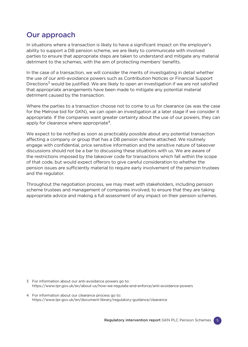#### Our approach

In situations where a transaction is likely to have a significant impact on the employer's ability to support a DB pension scheme, we are likely to communicate with involved parties to ensure that appropriate steps are taken to understand and mitigate any material detriment to the schemes, with the aim of protecting members' benefits.

In the case of a transaction, we will consider the merits of investigating in detail whether the use of our anti-avoidance powers such as Contribution Notices or Financial Support Directions<sup>3</sup> would be justified. We are likely to open an investigation if we are not satisfied that appropriate arrangements have been made to mitigate any potential material detriment caused by the transaction.

Where the parties to a transaction choose not to come to us for clearance (as was the case for the Melrose bid for GKN), we can open an investigation at a later stage if we consider it appropriate. If the companies want greater certainty about the use of our powers, they can apply for clearance where appropriate<sup>4</sup>.

We expect to be notified as soon as practicably possible about any potential transaction affecting a company or group that has a DB pension scheme attached. We routinely engage with confidential, price sensitive information and the sensitive nature of takeover discussions should not be a bar to discussing these situations with us. We are aware of the restrictions imposed by the takeover code for transactions which fall within the scope of that code, but would expect offerors to give careful consideration to whether the pension issues are sufficiently material to require early involvement of the pension trustees and the regulator.

Throughout the negotiation process, we may meet with stakeholders, including pension scheme trustees and management of companies involved, to ensure that they are taking appropriate advice and making a full assessment of any impact on their pension schemes.

3 For information about our anti-avoidance powers go to: [https://www.tpr.gov.uk/en/about-us/how-we-regulate-and-enforce/anti-avoidance-powers]( https://www.thepensionsregulator.gov.uk/en/about-us/how-we-regulate-and-enforce/anti-avoidance-powers )

4 For information about our clearance process go to: [https://www.tpr.gov.uk/en/document-library/regulatory-guidance/clearance](https://www.thepensionsregulator.gov.uk/en/document-library/regulatory-guidance/clearance)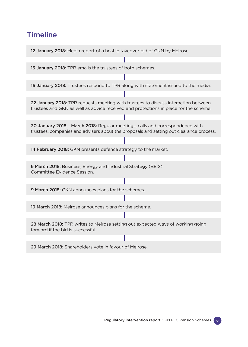#### **Timeline**

12 January 2018: Media report of a hostile takeover bid of GKN by Melrose.

15 January 2018: TPR emails the trustees of both schemes.

16 January 2018: Trustees respond to TPR along with statement issued to the media.

22 January 2018: TPR requests meeting with trustees to discuss interaction between trustees and GKN as well as advice received and protections in place for the scheme.

30 January 2018 – March 2018: Regular meetings, calls and correspondence with trustees, companies and advisers about the proposals and setting out clearance process.

14 February 2018: GKN presents defence strategy to the market.

6 March 2018: Business, Energy and Industrial Strategy (BEIS) Committee Evidence Session.

9 March 2018: GKN announces plans for the schemes.

19 March 2018: Melrose announces plans for the scheme.

28 March 2018: TPR writes to Melrose setting out expected ways of working going forward if the bid is successful.

29 March 2018: Shareholders vote in favour of Melrose.